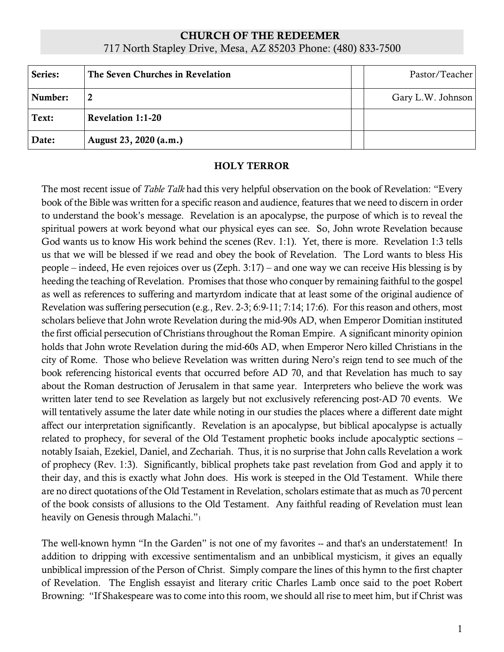## CHURCH OF THE REDEEMER 717 North Stapley Drive, Mesa, AZ 85203 Phone: (480) 833-7500

| Series: | The Seven Churches in Revelation | Pastor/Teacher    |
|---------|----------------------------------|-------------------|
| Number: | 2                                | Gary L.W. Johnson |
| Text:   | <b>Revelation 1:1-20</b>         |                   |
| Date:   | August 23, 2020 (a.m.)           |                   |

## HOLY TERROR

The most recent issue of *Table Talk* had this very helpful observation on the book of Revelation: "Every book of the Bible was written for a specific reason and audience, features that we need to discern in order to understand the book's message. Revelation is an apocalypse, the purpose of which is to reveal the spiritual powers at work beyond what our physical eyes can see. So, John wrote Revelation because God wants us to know His work behind the scenes (Rev. 1:1). Yet, there is more. Revelation 1:3 tells us that we will be blessed if we read and obey the book of Revelation. The Lord wants to bless His people – indeed, He even rejoices over us (Zeph. 3:17) – and one way we can receive His blessing is by heeding the teaching of Revelation. Promises that those who conquer by remaining faithful to the gospel as well as references to suffering and martyrdom indicate that at least some of the original audience of Revelation was suffering persecution (e.g., Rev. 2-3; 6:9-11; 7:14; 17:6). For this reason and others, most scholars believe that John wrote Revelation during the mid-90s AD, when Emperor Domitian instituted the first official persecution of Christians throughout the Roman Empire. A significant minority opinion holds that John wrote Revelation during the mid-60s AD, when Emperor Nero killed Christians in the city of Rome. Those who believe Revelation was written during Nero's reign tend to see much of the book referencing historical events that occurred before AD 70, and that Revelation has much to say about the Roman destruction of Jerusalem in that same year. Interpreters who believe the work was written later tend to see Revelation as largely but not exclusively referencing post-AD 70 events. We will tentatively assume the later date while noting in our studies the places where a different date might affect our interpretation significantly. Revelation is an apocalypse, but biblical apocalypse is actually related to prophecy, for several of the Old Testament prophetic books include apocalyptic sections – notably Isaiah, Ezekiel, Daniel, and Zechariah. Thus, it is no surprise that John calls Revelation a work of prophecy (Rev. 1:3). Significantly, biblical prophets take past revelation from God and apply it to their day, and this is exactly what John does. His work is steeped in the Old Testament. While there are no direct quotations of the Old Testament in Revelation, scholars estimate that as much as 70 percent of the book consists of allusions to the Old Testament. Any faithful reading of Revelation must lean heavily on Genesis through Malachi."<sup>1</sup>

The well-known hymn "In the Garden" is not one of my favorites -- and that's an understatement! In addition to dripping with excessive sentimentalism and an unbiblical mysticism, it gives an equally unbiblical impression of the Person of Christ. Simply compare the lines of this hymn to the first chapter of Revelation. The English essayist and literary critic Charles Lamb once said to the poet Robert Browning: "If Shakespeare was to come into this room, we should all rise to meet him, but if Christ was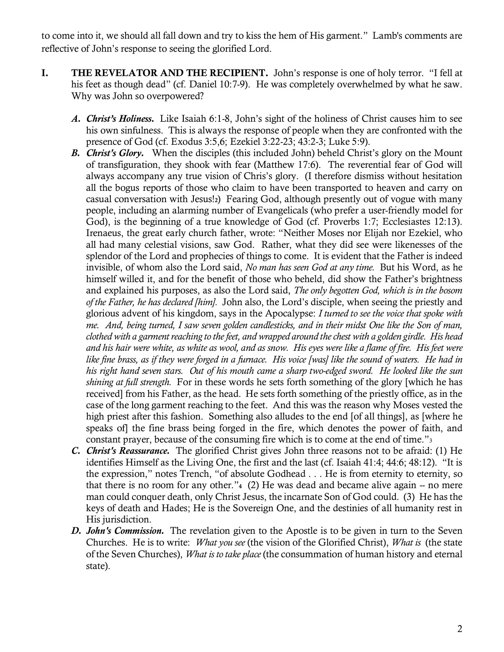to come into it, we should all fall down and try to kiss the hem of His garment." Lamb's comments are reflective of John's response to seeing the glorified Lord.

- I. THE REVELATOR AND THE RECIPIENT. John's response is one of holy terror. "I fell at his feet as though dead" (cf. Daniel 10:7-9). He was completely overwhelmed by what he saw. Why was John so overpowered?
	- *A. Christ's Holiness.* Like Isaiah 6:1-8, John's sight of the holiness of Christ causes him to see his own sinfulness. This is always the response of people when they are confronted with the presence of God (cf. Exodus 3:5,6; Ezekiel 3:22-23; 43:2-3; Luke 5:9).
	- *B. Christ's Glory.* When the disciples (this included John) beheld Christ's glory on the Mount of transfiguration, they shook with fear (Matthew 17:6). The reverential fear of God will always accompany any true vision of Chris's glory. (I therefore dismiss without hesitation all the bogus reports of those who claim to have been transported to heaven and carry on casual conversation with Jesus!2) Fearing God, although presently out of vogue with many people, including an alarming number of Evangelicals (who prefer a user-friendly model for God), is the beginning of a true knowledge of God (cf. Proverbs 1:7; Ecclesiastes 12:13). Irenaeus, the great early church father, wrote: "Neither Moses nor Elijah nor Ezekiel, who all had many celestial visions, saw God. Rather, what they did see were likenesses of the splendor of the Lord and prophecies of things to come. It is evident that the Father is indeed invisible, of whom also the Lord said, *No man has seen God at any time.* But his Word, as he himself willed it, and for the benefit of those who beheld, did show the Father's brightness and explained his purposes, as also the Lord said, *The only begotten God, which is in the bosom of the Father, he has declared [him].* John also, the Lord's disciple, when seeing the priestly and glorious advent of his kingdom, says in the Apocalypse: *I turned to see the voice that spoke with* me. And, being turned, I saw seven golden candlesticks, and in their midst One like the Son of man, clothed with a garment reaching to the feet, and wrapped around the chest with a golden girdle. His head and his hair were white, as white as wool, and as snow. His eyes were like a flame of fire. His feet were like fine brass, as if they were forged in a furnace. His voice [was] like the sound of waters. He had in *his right hand seven stars. Out of his mouth came a sharp two-edged sword. He looked like the sun shining at full strength.* For in these words he sets forth something of the glory [which he has received] from his Father, as the head. He sets forth something of the priestly office, as in the case of the long garment reaching to the feet. And this was the reason why Moses vested the high priest after this fashion. Something also alludes to the end [of all things], as [where he speaks of] the fine brass being forged in the fire, which denotes the power of faith, and constant prayer, because of the consuming fire which is to come at the end of time."<sup>3</sup>
	- *C. Christ's Reassurance.* The glorified Christ gives John three reasons not to be afraid: (1) He identifies Himself as the Living One, the first and the last (cf. Isaiah 41:4; 44:6; 48:12). "It is the expression," notes Trench, "of absolute Godhead . . . He is from eternity to eternity, so that there is no room for any other." $4$  (2) He was dead and became alive again -- no mere man could conquer death, only Christ Jesus, the incarnate Son of God could. (3) He has the keys of death and Hades; He is the Sovereign One, and the destinies of all humanity rest in His jurisdiction.
	- *D. John's Commission.* The revelation given to the Apostle is to be given in turn to the Seven Churches. He is to write: *What you see* (the vision of the Glorified Christ), *What is* (the state of the Seven Churches), *What is to take place* (the consummation of human history and eternal state).